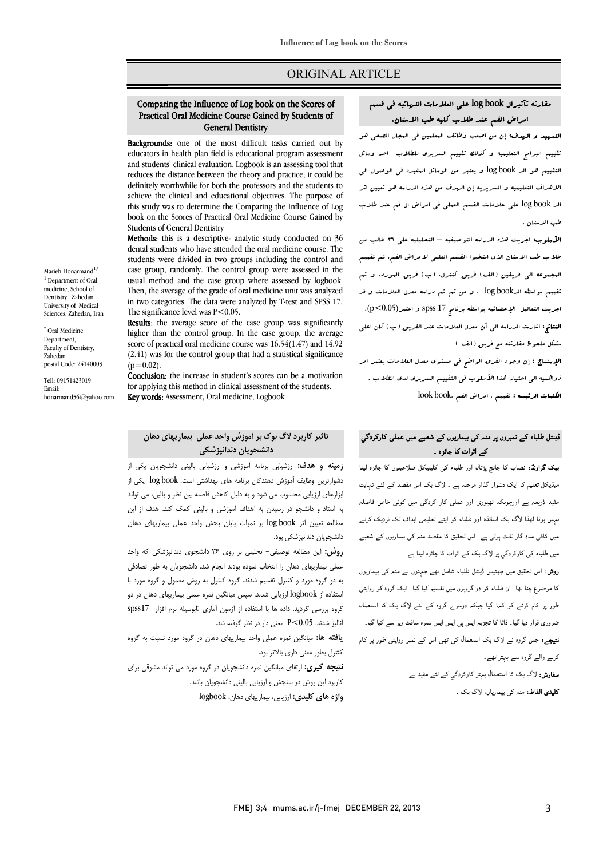# ORIGINAL ARTICLE

#### $\overline{a}$  Comparing the Influence of Log book on the Scores of Practical Oral Medicine Course Gained by Students of General Dentistry

Ī 

Backgrounds: one of the most difficult tasks carried out by educators in health plan field is educational program assessment and students' clinical evaluation. Logbook is an assessing tool that<br>reduces the distance between the theory and practice; it could be definitely worthwhile for both the professors and the students to achieve the clinical and educational objectives. The purpose of book on the Scores of Practical Oral Medicine Course Gained by and students' clinical evaluation. Logbook is an assessing tool that this study was to determine the Comparing the Influence of Log Students of General Dentistry

**Methods:** this is a descriptive- analytic study conducted on 36 dental at the study conducted on 36 students were divided in two groups including the control and case group, randomly. The control group were assessed in the Then, the average of the grade of oral medicine unit was analyzed in two categories. The data were analyzed by T-test and SPSS 17. dental students who have attended the oral medicine course. The usual method and the case group where assessed by logbook. The significance level was  $P < 0.05$ .

Ine significance level was P<0.05.<br>**Results**: the average score of the case group was significantly higher than the control group. In the case group, the average score of practical oral medicine course was  $16.54(1.47)$  and  $14.92$  $(2.41)$  was for the control group that had a statistical significance  $(0=0.02)$ .  $(n=0.02)$ .

Conclusion: the increase in student's scores can be a motivation for applying this method in clinical assessment of<br>**Key words:** Assessment, Oral medicine, Logbook for applying this method in clinical assessment of the students.

# **تاثیر کاربرد لاگ بوك بر آموزش واحد عملی بیماریهاي دهان دانشجویان دندانپزشکی**

 **زمینه و هدف:** ارزشیابی برنامه آموزشی و ارزشیابی بالینی دانشجویان یکی از دشوارترین وظایف آموزش دهندگان برنامه هاي بهداشتی است. book log یکی از ابزارهاي ارزیابی محسوب می شود و به دلیل کاهش فاصله بین نظر و بالین، می تواند به استاد و دانشجو در رسیدن به اهداف آموزشی و بالینی کمک کند. هدف از این مطالعه تعیین اثر book log بر نمرات پایان بخش واحد عملی بیماریهاي دهان دانشجویان دندانپزشکی بود.

 **روش:** این مطالعه توصیفی- تحلیلی بر روي 36 دانشجوي دندانپزشکی که واحد عملی بیماریهاي دهان را انتخاب نموده بودند انجام شد. دانشجویان به طور تصادفی به دو گروه مورد و کنترل تقسیم شدند. گروه کنترل به روش معمول و گروه مورد با استفاده از logbook ارزیابی شدند. سپس میانگین نمره عملی بیماریهاي دهان در دو گروه بررسی گردید. داده ها با استفاده از آزمون آماري tبوسیله نرم افزار 17spss آنالیز شدند. 0.05>P معنی دار در نظر گرفته شد.

 **یافته ها:** میانگین نمره عملی واحد بیماریهاي دهان در گروه مورد نسبت به گروه کنترل بطور معنی داري بالاتر بود.

 **نتیجه گیري:** ارتقاي میانگین نمره دانشجویان در گروه مورد می تواند مشوقی براي کاربرد این روش در سنجش و ارزیابی بالینی دانشجویان باشد.

**واژه هاي کلیدي:** ارزیابی، بیماریهاي دهان، logbook

# مقارنه تأثیرال book log علی العلامات النهائیه فی قسم امراض الفم عند طلاب کلیه طب الاسنان.

Ī ֦

 التمهید و الهدف: إن من اصعب وظائف المعلمین فی المجال الصحی هو تقییم البرامج التعلیمیه و کذلک تقییم السریري للطلاب احد وسائل التقییم هو الد book log و یعتبر من الوسائل المفیده فی الوصول الی الاهداف التعلیمیه و السریریه إن الهدف من هذه الدراسه هو تعیین اثر الد log book علی علامات القسم العملی فی امراض ال فم عند طلاب<br>. طب الاسنان .

 الأسلوب: اجریت هذه الدراسه التوصیفیه – التحلیلیه علی 36 طالب من طلاب طب الاسنان الذي انتخبوا القسم العلمی لامراض الفم. تم تقییم المجموعه الی فریقین (الف) فریق کنترل، (ب) فریق المورد. و تم تقییم بواسطه الدbook log . و من ثم تم دراسه معدل العلامات و قد اجریت التعالیل الإحصائیه بواسطه برنامج 17 spss و اعتبر(0.05>p(. ا**لنتائج:** اشارت الدرا<sub>س</sub>ه ال<sub>ی</sub> أن معدل العلامات عند الفریق (ب) کان اعلی<br>. بشکل ملحوظ مقارنته مع فریق (الف )

 الإستناج : إن وجود الفرق الواضح فی مستوي معدل العلامات یعتبر امر ذواهمیه الی اختیار هذا الأسلوب فی التقییم السریري لدي الطلاب . ا**لکلمات الرئیسه :** تقییم ، امراض الفم .look book

# ڈینٹل طلباء کے نمبروں پر منہ کی بیماریوں کے شعبے میں عمل*ی* کارکردگي کے اثرات کا جائزہ ۔

**یک گراونڈ:** نصاب کا جانچ پڑتال اور طلباء کی کلینیکل صلاحیتوں کا جائزہ لینا ۔<br>میڈیکل تعلیم کا ایک دشوار گذار مرحلہ ہے ۔ لاگ بک اس مقصد کے لئے نہایت مفید ذریعہ ہے اورچونکہ تھیوری اور عملی کار کردگي میں کوئی خاص فاصلہ<br>۔ نہیں ہوتا لھذا لأگ بک اساتذہ اور طلباء کو اپنے تعلیمی اہداف تک نزدیک کرنے<br>۔ میں کافی مدد گار ثابت ہوتی ہے۔ اس تحقیق کا مقصد منہ کی بیماریوں کے شعبے میں طلباء کی کارکردگي پر لاگ بک کے اثرات کا جائزہ لینا ہے۔

ر**وش:** اس تحقیق میں چھتیس ڈینٹل طلباء شامل تھے جہنوں نے منہ کی بیماریوں ی<br>کا موضوع چنا تھا۔ ان طلباء کو دو گروہوں میں تقسیم کیا گیا۔ ایک گروہ کو روایتی ۔<br>طور پر کام کرنے کو کہا گیا جبکہ دوسرے گروہ کے لئے لاگ بک کا استعمال ľ ضروری قرار دیا گیا۔ ڈاٹا کا تجزیہ ایس پی ایس ایس سترہ سافٹ ویر سے کیا گیا۔<br>۔ **تیچے:** جس گروہ نے لاگ بک استعمال کی تھی اس کے نمبر روایتی طور پر کام<br>۔ کرنے والے گروہ سے بہتر تھے۔

> **سفارش:** لاگ بک کا استعمال بہتر کارکردگي کے لئے مفید ہے۔ **کلیدی الفاظ:** منہ کی بیماریاں، لاگ بک ۔

Marieh Honarmand<sup>1,\*</sup> <sup>1</sup> Department of Oral medicine, School of Dentistry, Zahedan University of Medical Sciences, Zahedan, Iran

\* Oral Medicine Department, Faculty of Dentistry, Zahedan postal Code: 24140003

Tell: 09151423019 Email: honarmand56@yahoo.com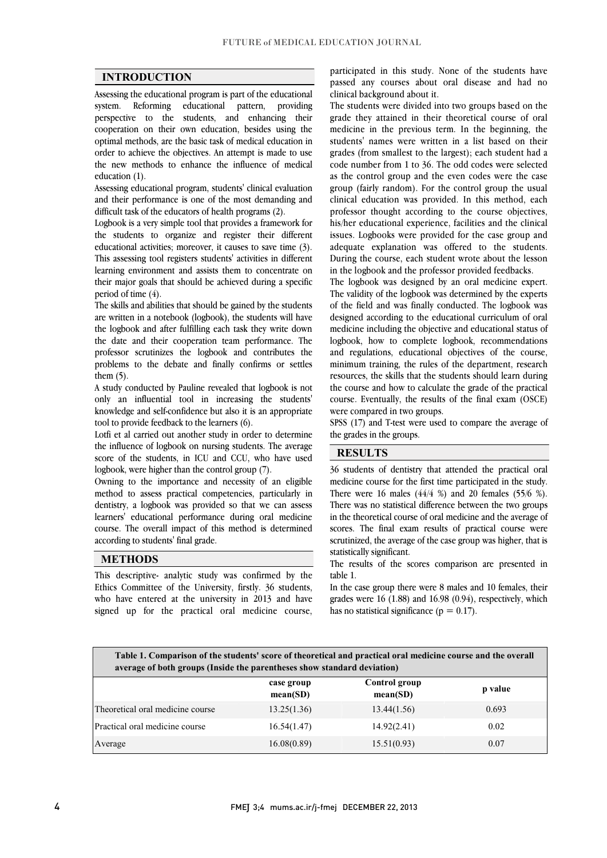$\overline{a}$  $\overline{a}$ 

### **INTRODUCTION**

 Assessing the educational program is part of the educational system. Reforming educational pattern, providing cooperation on their own education, besides using the optimal methods, are the basic task of medical education in order to achieve the objectives. An attempt is made to use the new methods to enhance the influence of medical perspective to the students, and enhancing their education (1).

 Assessing educational program, students' clinical evaluation and their performance is one of the most demanding and difficult task of the educators of health programs (2).

 Logbook is a very simple tool that provides a framework for educational activities; moreover, it causes to save time (3). This assessing tool registers students' activities in different learning environment and assists them to concentrate on their major goals that should be achieved during a specific<br>regular of time  $\phi$ the students to organize and register their different period of time (4).

 The skills and abilities that should be gained by the students are written in a notebook (logbook), the students will have the logbook and after fulfilling each task they write down professor scrutinizes the logbook and contributes the problems to the debate and finally confirms or settles the date and their cooperation team performance. The them (5).

 A study conducted by Pauline revealed that logbook is not knowledge and self-confidence but also it is an appropriate only an influential tool in increasing the students' tool to provide feedback to the learners (6).

 Lotfi et al carried out another study in order to determine the influence of logbook on nursing students. The average score of the students, in ICU and CCU, who have used<br>lookook were bigher than the control group  $(7)$ logbook, were higher than the control group (7).

 Owning to the importance and necessity of an eligible method to assess practical competencies, particularly in dentistry, a logbook was provided so that we can assess course. The overall impact of this method is determined learners' educational performance during oral medicine according to students' final grade.

## **METHODS**

 This descriptive- analytic study was confirmed by the Ethics Committee of the University, firstly. 36 students, who have entered at the university in 2013 and have signed up for the practical oral medicine course,

 passed any courses about oral disease and had no participated in this study. None of the students have clinical background about it.

 The students were divided into two groups based on the medicine in the previous term. In the beginning, the students' names were written in a list based on their grades (from smallest to the largest); each student had a code number from 1 to 36. The odd codes were selected group (fairly random). For the control group the usual clinical education was provided. In this method, each professor thought according to the course objectives, ins/net educational experience, facilities and the chincal<br>issues. Logbooks were provided for the case group and adequate explanation was offered to the students. During the course, each student wrote about the lesson grade they attained in their theoretical course of oral as the control group and the even codes were the case his/her educational experience, facilities and the clinical in the logbook and the professor provided feedbacks.

The validity of the logbook was determined by the experts of the field and was finally conducted. The logbook was designed according to the educational curriculum of oral medicine including the objective and educational status of and regulations, educational objectives of the course, minimum training, the rules of the department, research resources, the skills that the students should learn during the course and how to calculate the grade of the practical course. Eventually, the results of the final exam (OSCE)<br>were compared in two groups The logbook was designed by an oral medicine expert. logbook, how to complete logbook, recommendations were compared in two groups.

SPSS (17) and T-test were used to compare the average of the grades in the groups.

### **RESULTS**

 36 students of dentistry that attended the practical oral medicine course for the first time participated in the study. There were 16 males (44/4 %) and 20 females (55/6 %). in the theoretical course of oral medicine and the average of scores. The final exam results of practical course were scrutinized, the average of the case group was higher, that is There was no statistical difference between the two groups statistically significant.

The results of the scores comparison are presented in table 1 table 1.

 In the case group there were 8 males and 10 females, their grades were 16 (1.88) and 16.98 (0.94), respectively, which has no statistical significance ( $p = 0.17$ ).

| Table 1. Comparison of the students' score of theoretical and practical oral medicine course and the overall<br>average of both groups (Inside the parentheses show standard deviation) |                        |                           |         |
|-----------------------------------------------------------------------------------------------------------------------------------------------------------------------------------------|------------------------|---------------------------|---------|
|                                                                                                                                                                                         | case group<br>mean(SD) | Control group<br>mean(SD) | p value |
| Theoretical oral medicine course                                                                                                                                                        | 13.25(1.36)            | 13.44(1.56)               | 0.693   |
| Practical oral medicine course                                                                                                                                                          | 16.54(1.47)            | 14.92(2.41)               | 0.02    |
| Average                                                                                                                                                                                 | 16.08(0.89)            | 15.51(0.93)               | 0.07    |

Ī